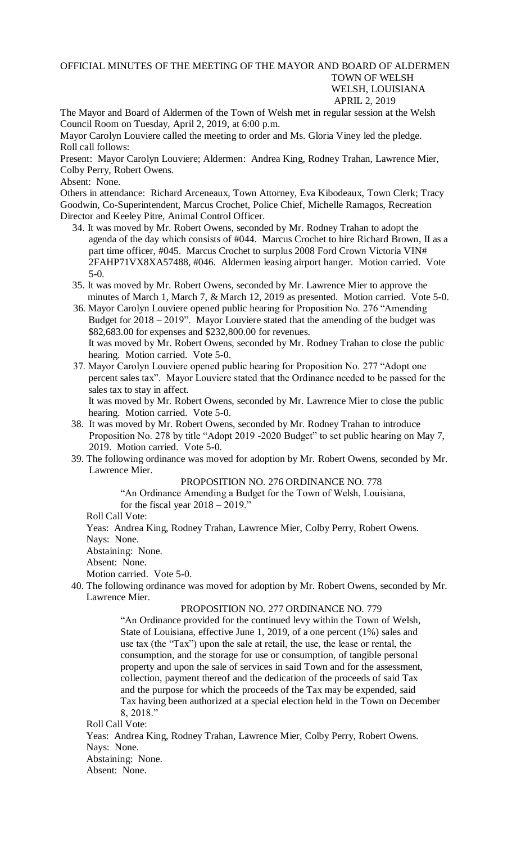## OFFICIAL MINUTES OF THE MEETING OF THE MAYOR AND BOARD OF ALDERMEN TOWN OF WELSH WELSH, LOUISIANA APRIL 2, 2019

The Mayor and Board of Aldermen of the Town of Welsh met in regular session at the Welsh Council Room on Tuesday, April 2, 2019, at 6:00 p.m.

Mayor Carolyn Louviere called the meeting to order and Ms. Gloria Viney led the pledge. Roll call follows:

Present: Mayor Carolyn Louviere; Aldermen: Andrea King, Rodney Trahan, Lawrence Mier, Colby Perry, Robert Owens.

Absent: None.

Others in attendance: Richard Arceneaux, Town Attorney, Eva Kibodeaux, Town Clerk; Tracy Goodwin, Co-Superintendent, Marcus Crochet, Police Chief, Michelle Ramagos, Recreation Director and Keeley Pitre, Animal Control Officer.

- 34. It was moved by Mr. Robert Owens, seconded by Mr. Rodney Trahan to adopt the agenda of the day which consists of #044. Marcus Crochet to hire Richard Brown, II as a part time officer, #045. Marcus Crochet to surplus 2008 Ford Crown Victoria VIN# 2FAHP71VX8XA57488, #046. Aldermen leasing airport hanger. Motion carried. Vote 5-0.
- 35. It was moved by Mr. Robert Owens, seconded by Mr. Lawrence Mier to approve the minutes of March 1, March 7, & March 12, 2019 as presented. Motion carried. Vote 5-0.
- 36. Mayor Carolyn Louviere opened public hearing for Proposition No. 276 "Amending Budget for 2018 – 2019". Mayor Louviere stated that the amending of the budget was \$82,683.00 for expenses and \$232,800.00 for revenues. It was moved by Mr. Robert Owens, seconded by Mr. Rodney Trahan to close the public hearing. Motion carried. Vote 5-0.
- 37. Mayor Carolyn Louviere opened public hearing for Proposition No. 277 "Adopt one percent sales tax". Mayor Louviere stated that the Ordinance needed to be passed for the sales tax to stay in affect.

 It was moved by Mr. Robert Owens, seconded by Mr. Lawrence Mier to close the public hearing. Motion carried. Vote 5-0.

- 38. It was moved by Mr. Robert Owens, seconded by Mr. Rodney Trahan to introduce Proposition No. 278 by title "Adopt 2019 -2020 Budget" to set public hearing on May 7, 2019. Motion carried. Vote 5-0.
- 39. The following ordinance was moved for adoption by Mr. Robert Owens, seconded by Mr. Lawrence Mier.

PROPOSITION NO. 276 ORDINANCE NO. 778

"An Ordinance Amending a Budget for the Town of Welsh, Louisiana,

for the fiscal year 2018 – 2019."

Roll Call Vote:

Yeas: Andrea King, Rodney Trahan, Lawrence Mier, Colby Perry, Robert Owens. Nays: None.

Abstaining: None.

Absent: None.

Motion carried. Vote 5-0.

40. The following ordinance was moved for adoption by Mr. Robert Owens, seconded by Mr. Lawrence Mier.

## PROPOSITION NO. 277 ORDINANCE NO. 779

"An Ordinance provided for the continued levy within the Town of Welsh, State of Louisiana, effective June 1, 2019, of a one percent (1%) sales and use tax (the "Tax") upon the sale at retail, the use, the lease or rental, the consumption, and the storage for use or consumption, of tangible personal property and upon the sale of services in said Town and for the assessment, collection, payment thereof and the dedication of the proceeds of said Tax and the purpose for which the proceeds of the Tax may be expended, said Tax having been authorized at a special election held in the Town on December 8, 2018."

Roll Call Vote:

Yeas: Andrea King, Rodney Trahan, Lawrence Mier, Colby Perry, Robert Owens. Nays: None. Abstaining: None.

Absent: None.